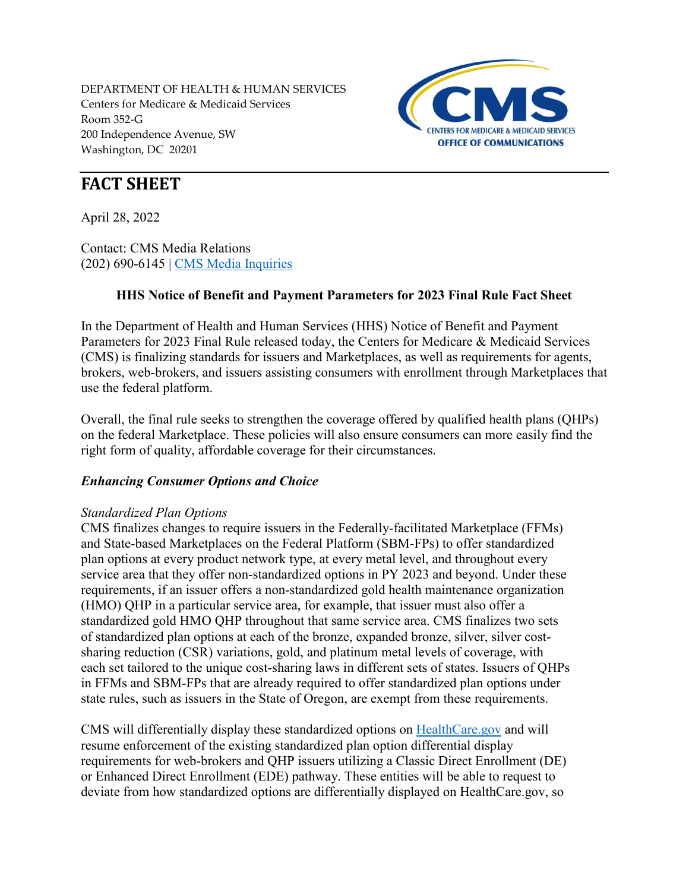DEPARTMENT OF HEALTH & HUMAN SERVICES Centers for Medicare & Medicaid Services Room 352-G 200 Independence Avenue, SW Washington, DC 20201



# **FACT SHEET**

April 28, 2022

Contact: CMS Media Relations (202) 690-6145 | [CMS Media Inquiries](http://go.cms.gov/media)

## **HHS Notice of Benefit and Payment Parameters for 2023 Final Rule Fact Sheet**

In the Department of Health and Human Services (HHS) Notice of Benefit and Payment Parameters for 2023 Final Rule released today, the Centers for Medicare & Medicaid Services (CMS) is finalizing standards for issuers and Marketplaces, as well as requirements for agents, brokers, web-brokers, and issuers assisting consumers with enrollment through Marketplaces that use the federal platform.

Overall, the final rule seeks to strengthen the coverage offered by qualified health plans (QHPs) on the federal Marketplace. These policies will also ensure consumers can more easily find the right form of quality, affordable coverage for their circumstances.

## *Enhancing Consumer Options and Choice*

## *Standardized Plan Options*

CMS finalizes changes to require issuers in the Federally-facilitated Marketplace (FFMs) and State-based Marketplaces on the Federal Platform (SBM-FPs) to offer standardized plan options at every product network type, at every metal level, and throughout every service area that they offer non-standardized options in PY 2023 and beyond. Under these requirements, if an issuer offers a non-standardized gold health maintenance organization (HMO) QHP in a particular service area, for example, that issuer must also offer a standardized gold HMO QHP throughout that same service area. CMS finalizes two sets of standardized plan options at each of the bronze, expanded bronze, silver, silver costsharing reduction (CSR) variations, gold, and platinum metal levels of coverage, with each set tailored to the unique cost-sharing laws in different sets of states. Issuers of QHPs in FFMs and SBM-FPs that are already required to offer standardized plan options under state rules, such as issuers in the State of Oregon, are exempt from these requirements.

CMS will differentially display these standardized options on [HealthCare.gov](https://www.healthcare.gov/) and will resume enforcement of the existing standardized plan option differential display requirements for web-brokers and QHP issuers utilizing a Classic Direct Enrollment (DE) or Enhanced Direct Enrollment (EDE) pathway. These entities will be able to request to deviate from how standardized options are differentially displayed on HealthCare.gov, so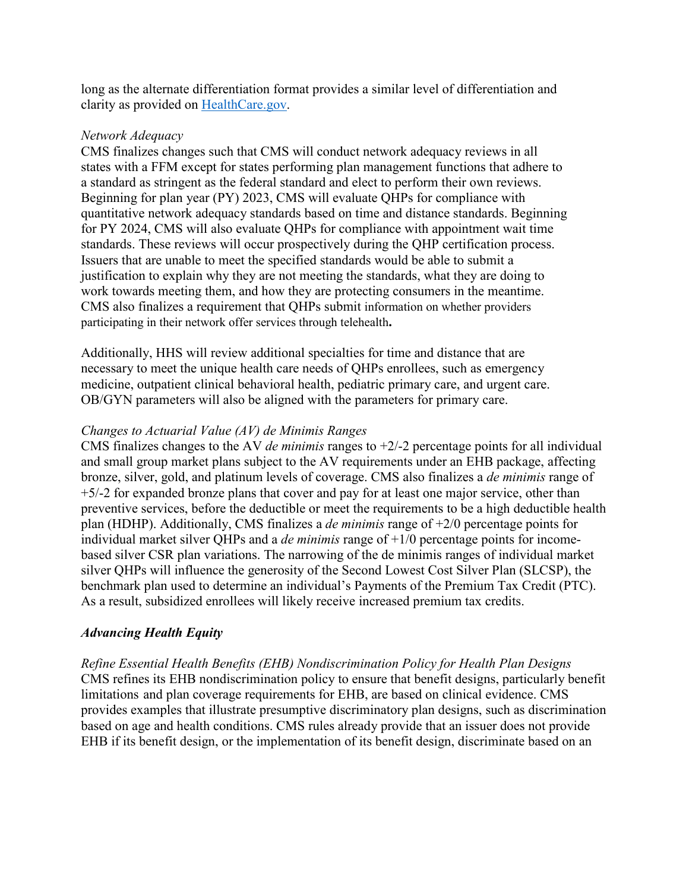long as the alternate differentiation format provides a similar level of differentiation and clarity as provided on [HealthCare.gov.](https://www.healthcare.gov/)

## *Network Adequacy*

CMS finalizes changes such that CMS will conduct network adequacy reviews in all states with a FFM except for states performing plan management functions that adhere to a standard as stringent as the federal standard and elect to perform their own reviews. Beginning for plan year (PY) 2023, CMS will evaluate QHPs for compliance with quantitative network adequacy standards based on time and distance standards. Beginning for PY 2024, CMS will also evaluate QHPs for compliance with appointment wait time standards. These reviews will occur prospectively during the QHP certification process. Issuers that are unable to meet the specified standards would be able to submit a justification to explain why they are not meeting the standards, what they are doing to work towards meeting them, and how they are protecting consumers in the meantime. CMS also finalizes a requirement that QHPs submit information on whether providers participating in their network offer services through telehealth**.**

Additionally, HHS will review additional specialties for time and distance that are necessary to meet the unique health care needs of QHPs enrollees, such as emergency medicine, outpatient clinical behavioral health, pediatric primary care, and urgent care. OB/GYN parameters will also be aligned with the parameters for primary care.

### *Changes to Actuarial Value (AV) de Minimis Ranges*

CMS finalizes changes to the AV *de minimis* ranges to +2/-2 percentage points for all individual and small group market plans subject to the AV requirements under an EHB package, affecting bronze, silver, gold, and platinum levels of coverage. CMS also finalizes a *de minimis* range of +5/-2 for expanded bronze plans that cover and pay for at least one major service, other than preventive services, before the deductible or meet the requirements to be a high deductible health plan (HDHP). Additionally, CMS finalizes a *de minimis* range of +2/0 percentage points for individual market silver QHPs and a *de minimis* range of +1/0 percentage points for incomebased silver CSR plan variations. The narrowing of the de minimis ranges of individual market silver QHPs will influence the generosity of the Second Lowest Cost Silver Plan (SLCSP), the benchmark plan used to determine an individual's Payments of the Premium Tax Credit (PTC). As a result, subsidized enrollees will likely receive increased premium tax credits.

## *Advancing Health Equity*

*Refine Essential Health Benefits (EHB) Nondiscrimination Policy for Health Plan Designs*  CMS refines its EHB nondiscrimination policy to ensure that benefit designs, particularly benefit limitations and plan coverage requirements for EHB, are based on clinical evidence. CMS provides examples that illustrate presumptive discriminatory plan designs, such as discrimination based on age and health conditions. CMS rules already provide that an issuer does not provide EHB if its benefit design, or the implementation of its benefit design, discriminate based on an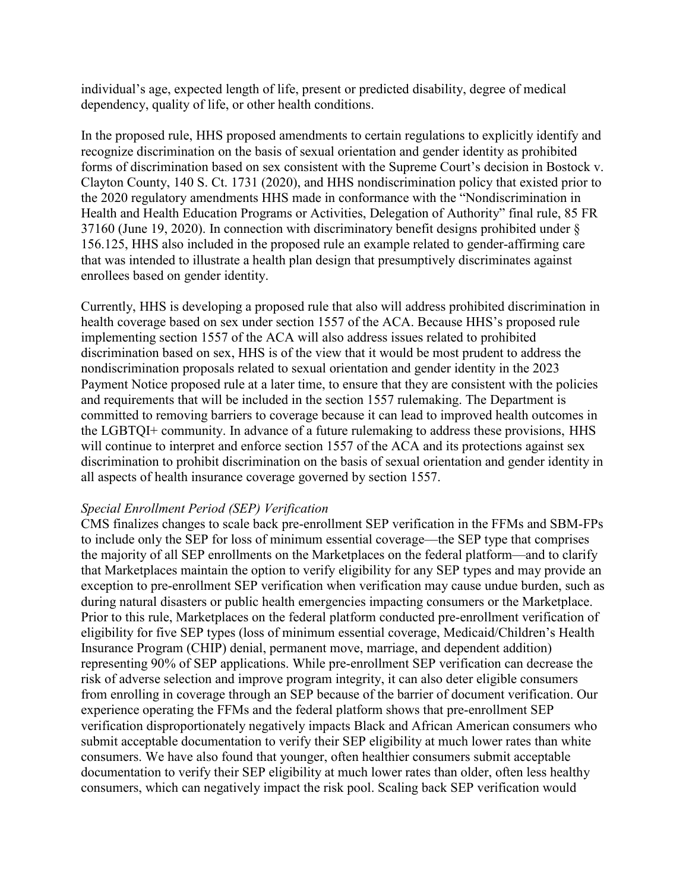individual's age, expected length of life, present or predicted disability, degree of medical dependency, quality of life, or other health conditions.

In the proposed rule, HHS proposed amendments to certain regulations to explicitly identify and recognize discrimination on the basis of sexual orientation and gender identity as prohibited forms of discrimination based on sex consistent with the Supreme Court's decision in Bostock v. Clayton County, 140 S. Ct. 1731 (2020), and HHS nondiscrimination policy that existed prior to the 2020 regulatory amendments HHS made in conformance with the "Nondiscrimination in Health and Health Education Programs or Activities, Delegation of Authority" final rule, 85 FR 37160 (June 19, 2020). In connection with discriminatory benefit designs prohibited under § 156.125, HHS also included in the proposed rule an example related to gender-affirming care that was intended to illustrate a health plan design that presumptively discriminates against enrollees based on gender identity.

Currently, HHS is developing a proposed rule that also will address prohibited discrimination in health coverage based on sex under section 1557 of the ACA. Because HHS's proposed rule implementing section 1557 of the ACA will also address issues related to prohibited discrimination based on sex, HHS is of the view that it would be most prudent to address the nondiscrimination proposals related to sexual orientation and gender identity in the 2023 Payment Notice proposed rule at a later time, to ensure that they are consistent with the policies and requirements that will be included in the section 1557 rulemaking. The Department is committed to removing barriers to coverage because it can lead to improved health outcomes in the LGBTQI+ community. In advance of a future rulemaking to address these provisions, HHS will continue to interpret and enforce section 1557 of the ACA and its protections against sex discrimination to prohibit discrimination on the basis of sexual orientation and gender identity in all aspects of health insurance coverage governed by section 1557.

#### *Special Enrollment Period (SEP) Verification*

CMS finalizes changes to scale back pre-enrollment SEP verification in the FFMs and SBM-FPs to include only the SEP for loss of minimum essential coverage—the SEP type that comprises the majority of all SEP enrollments on the Marketplaces on the federal platform—and to clarify that Marketplaces maintain the option to verify eligibility for any SEP types and may provide an exception to pre-enrollment SEP verification when verification may cause undue burden, such as during natural disasters or public health emergencies impacting consumers or the Marketplace. Prior to this rule, Marketplaces on the federal platform conducted pre-enrollment verification of eligibility for five SEP types (loss of minimum essential coverage, Medicaid/Children's Health Insurance Program (CHIP) denial, permanent move, marriage, and dependent addition) representing 90% of SEP applications. While pre-enrollment SEP verification can decrease the risk of adverse selection and improve program integrity, it can also deter eligible consumers from enrolling in coverage through an SEP because of the barrier of document verification. Our experience operating the FFMs and the federal platform shows that pre-enrollment SEP verification disproportionately negatively impacts Black and African American consumers who submit acceptable documentation to verify their SEP eligibility at much lower rates than white consumers. We have also found that younger, often healthier consumers submit acceptable documentation to verify their SEP eligibility at much lower rates than older, often less healthy consumers, which can negatively impact the risk pool. Scaling back SEP verification would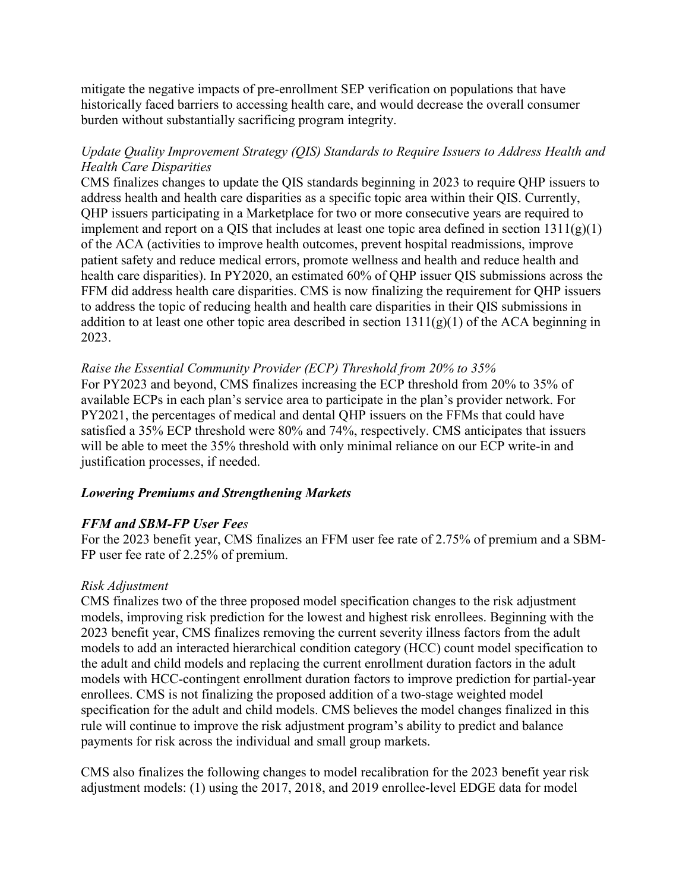mitigate the negative impacts of pre-enrollment SEP verification on populations that have historically faced barriers to accessing health care, and would decrease the overall consumer burden without substantially sacrificing program integrity.

## *Update Quality Improvement Strategy (QIS) Standards to Require Issuers to Address Health and Health Care Disparities*

CMS finalizes changes to update the QIS standards beginning in 2023 to require QHP issuers to address health and health care disparities as a specific topic area within their QIS. Currently, QHP issuers participating in a Marketplace for two or more consecutive years are required to implement and report on a QIS that includes at least one topic area defined in section  $1311(g)(1)$ of the ACA (activities to improve health outcomes, prevent hospital readmissions, improve patient safety and reduce medical errors, promote wellness and health and reduce health and health care disparities). In PY2020, an estimated 60% of QHP issuer QIS submissions across the FFM did address health care disparities. CMS is now finalizing the requirement for QHP issuers to address the topic of reducing health and health care disparities in their QIS submissions in addition to at least one other topic area described in section  $1311(g)(1)$  of the ACA beginning in 2023.

### *Raise the Essential Community Provider (ECP) Threshold from 20% to 35%*

For PY2023 and beyond, CMS finalizes increasing the ECP threshold from 20% to 35% of available ECPs in each plan's service area to participate in the plan's provider network. For PY2021, the percentages of medical and dental QHP issuers on the FFMs that could have satisfied a 35% ECP threshold were 80% and 74%, respectively. CMS anticipates that issuers will be able to meet the 35% threshold with only minimal reliance on our ECP write-in and justification processes, if needed.

#### *Lowering Premiums and Strengthening Markets*

## *FFM and SBM-FP User Fees*

For the 2023 benefit year, CMS finalizes an FFM user fee rate of 2.75% of premium and a SBM-FP user fee rate of 2.25% of premium.

#### *Risk Adjustment*

CMS finalizes two of the three proposed model specification changes to the risk adjustment models, improving risk prediction for the lowest and highest risk enrollees. Beginning with the 2023 benefit year, CMS finalizes removing the current severity illness factors from the adult models to add an interacted hierarchical condition category (HCC) count model specification to the adult and child models and replacing the current enrollment duration factors in the adult models with HCC-contingent enrollment duration factors to improve prediction for partial-year enrollees. CMS is not finalizing the proposed addition of a two-stage weighted model specification for the adult and child models. CMS believes the model changes finalized in this rule will continue to improve the risk adjustment program's ability to predict and balance payments for risk across the individual and small group markets.

CMS also finalizes the following changes to model recalibration for the 2023 benefit year risk adjustment models: (1) using the 2017, 2018, and 2019 enrollee-level EDGE data for model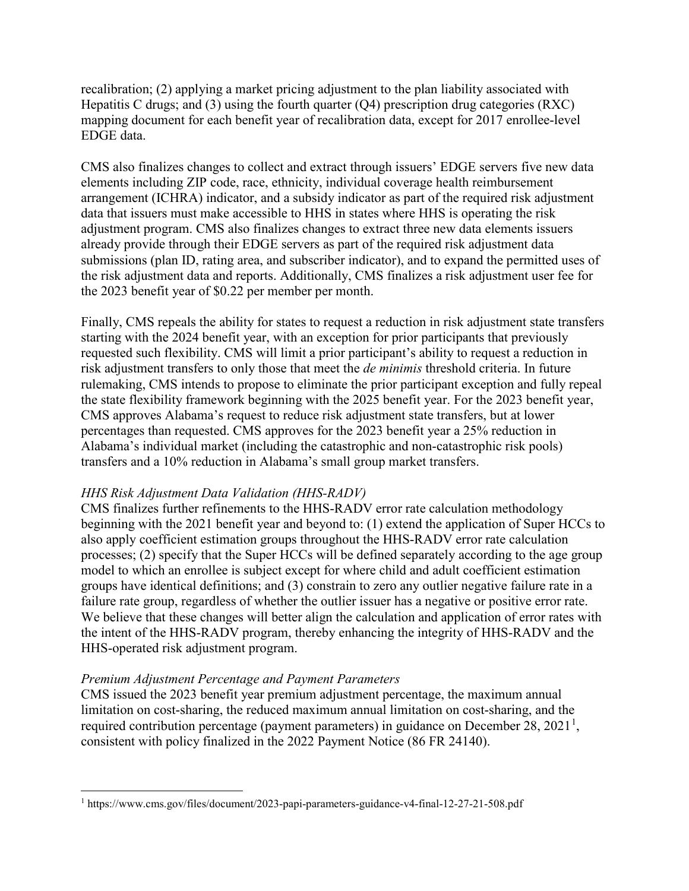recalibration; (2) applying a market pricing adjustment to the plan liability associated with Hepatitis C drugs; and (3) using the fourth quarter  $(Q4)$  prescription drug categories  $(RXC)$ mapping document for each benefit year of recalibration data, except for 2017 enrollee-level EDGE data.

CMS also finalizes changes to collect and extract through issuers' EDGE servers five new data elements including ZIP code, race, ethnicity, individual coverage health reimbursement arrangement (ICHRA) indicator, and a subsidy indicator as part of the required risk adjustment data that issuers must make accessible to HHS in states where HHS is operating the risk adjustment program. CMS also finalizes changes to extract three new data elements issuers already provide through their EDGE servers as part of the required risk adjustment data submissions (plan ID, rating area, and subscriber indicator), and to expand the permitted uses of the risk adjustment data and reports. Additionally, CMS finalizes a risk adjustment user fee for the 2023 benefit year of \$0.22 per member per month.

Finally, CMS repeals the ability for states to request a reduction in risk adjustment state transfers starting with the 2024 benefit year, with an exception for prior participants that previously requested such flexibility. CMS will limit a prior participant's ability to request a reduction in risk adjustment transfers to only those that meet the *de minimis* threshold criteria. In future rulemaking, CMS intends to propose to eliminate the prior participant exception and fully repeal the state flexibility framework beginning with the 2025 benefit year. For the 2023 benefit year, CMS approves Alabama's request to reduce risk adjustment state transfers, but at lower percentages than requested. CMS approves for the 2023 benefit year a 25% reduction in Alabama's individual market (including the catastrophic and non-catastrophic risk pools) transfers and a 10% reduction in Alabama's small group market transfers.

#### *HHS Risk Adjustment Data Validation (HHS-RADV)*

CMS finalizes further refinements to the HHS-RADV error rate calculation methodology beginning with the 2021 benefit year and beyond to: (1) extend the application of Super HCCs to also apply coefficient estimation groups throughout the HHS-RADV error rate calculation processes; (2) specify that the Super HCCs will be defined separately according to the age group model to which an enrollee is subject except for where child and adult coefficient estimation groups have identical definitions; and (3) constrain to zero any outlier negative failure rate in a failure rate group, regardless of whether the outlier issuer has a negative or positive error rate. We believe that these changes will better align the calculation and application of error rates with the intent of the HHS-RADV program, thereby enhancing the integrity of HHS-RADV and the HHS-operated risk adjustment program.

#### *Premium Adjustment Percentage and Payment Parameters*

CMS issued the 2023 benefit year premium adjustment percentage, the maximum annual limitation on cost-sharing, the reduced maximum annual limitation on cost-sharing, and the required contribution percentage (payment parameters) in guidance on December 28, 202[1](#page-4-0)<sup>1</sup>, consistent with policy finalized in the 2022 Payment Notice (86 FR 24140).

<span id="page-4-0"></span> <sup>1</sup> https://www.cms.gov/files/document/2023-papi-parameters-guidance-v4-final-12-27-21-508.pdf